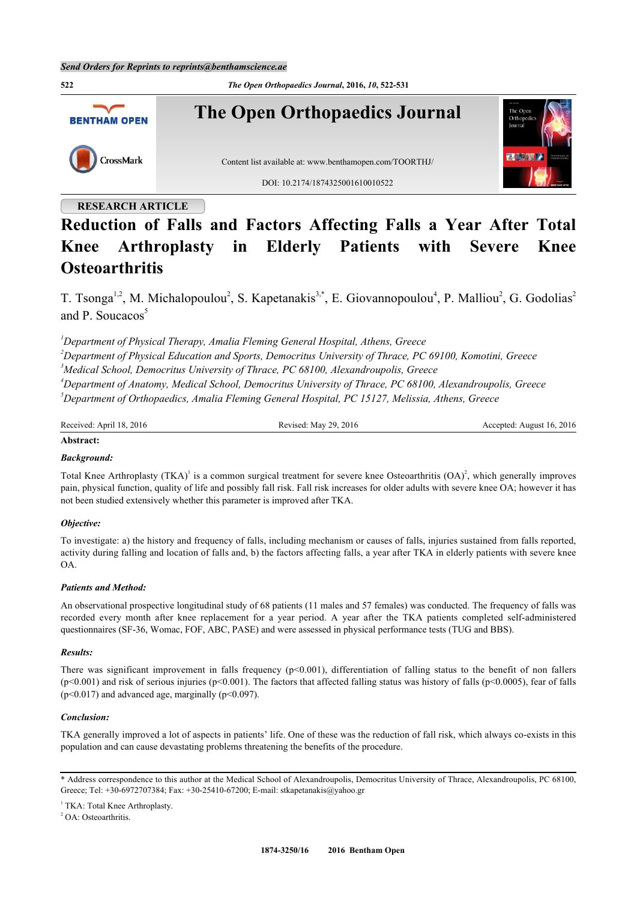

# **RESEARCH ARTICLE**

# **Reduction of Falls and Factors Affecting Falls a Year After Total Knee Arthroplasty in Elderly Patients with Severe Knee Osteoarthritis**

T. Tsonga<sup>[1,](#page-0-0)[2](#page-0-1)</sup>, M. Michalopoulou<sup>2</sup>, S. Kapetanakis<sup>[3](#page-0-2)[,\\*](#page-0-3)</sup>, E. Giovannopoulou<sup>[4](#page-0-4)</sup>, P. Malliou<sup>2</sup>, G. Godolias<sup>2</sup> and P. Soucacos $<sup>5</sup>$  $<sup>5</sup>$  $<sup>5</sup>$ </sup>

<span id="page-0-4"></span><span id="page-0-2"></span><span id="page-0-1"></span><span id="page-0-0"></span>*Department of Physical Therapy, Amalia Fleming General Hospital, Athens, Greece Department of Physical Education and Sports, Democritus University of Thrace, PC 69100, Komotini, Greece Medical School, Democritus University of Thrace, PC 68100, Alexandroupolis, Greece Department of Anatomy, Medical School, Democritus University of Thrace, PC 68100, Alexandroupolis, Greece Department of Orthopaedics, Amalia Fleming General Hospital, PC 15127, Melissia, Athens, Greece*

<span id="page-0-5"></span>

| Received: April 18, 2016 | Revised: May 29, 2016 | Accepted: August 16, 2016 |
|--------------------------|-----------------------|---------------------------|

## **Abstract:**

# *Background:*

Total Knee Arthroplasty  $(TKA)^{T}$  is a common surgical treatment for severe knee Osteoarthritis  $(OA)^{2}$  $(OA)^{2}$  $(OA)^{2}$ , which generally improves pain, physical function, quality of life and possibly fall risk. Fall risk increases for older adults with severe knee OA; however it has not been studied extensively whether this parameter is improved after TKA.

# *Objective:*

To investigate: a) the history and frequency of falls, including mechanism or causes of falls, injuries sustained from falls reported, activity during falling and location of falls and, b) the factors affecting falls, a year after TKA in elderly patients with severe knee OA.

#### *Patients and Method:*

An observational prospective longitudinal study of 68 patients (11 males and 57 females) was conducted. The frequency of falls was recorded every month after knee replacement for a year period. A year after the TKA patients completed self-administered questionnaires (SF-36, Womac, FOF, ABC, PASE) and were assessed in physical performance tests (TUG and BBS).

#### *Results:*

There was significant improvement in falls frequency  $(p<0.001)$ , differentiation of falling status to the benefit of non fallers  $(p<0.001)$  and risk of serious injuries ( $p<0.001$ ). The factors that affected falling status was history of falls ( $p<0.0005$ ), fear of falls  $(p<0.017)$  and advanced age, marginally  $(p<0.097)$ .

#### *Conclusion:*

TKA generally improved a lot of aspects in patients' life. One of these was the reduction of fall risk, which always co-exists in this population and can cause devastating problems threatening the benefits of the procedure.

<span id="page-0-3"></span><sup>\*</sup> Address correspondence to this author at the Medical School of Alexandroupolis, Democritus University of Thrace, Alexandroupolis, PC 68100, Greece; Tel: +30-6972707384; Fax: +30-25410-67200; E-mail: [stkapetanakis@yahoo.gr](mailto:stkapetanakis@yahoo.gr)

<sup>&</sup>lt;sup>1</sup> TKA: Total Knee Arthroplasty.

<sup>&</sup>lt;sup>2</sup> OA: Osteoarthritis.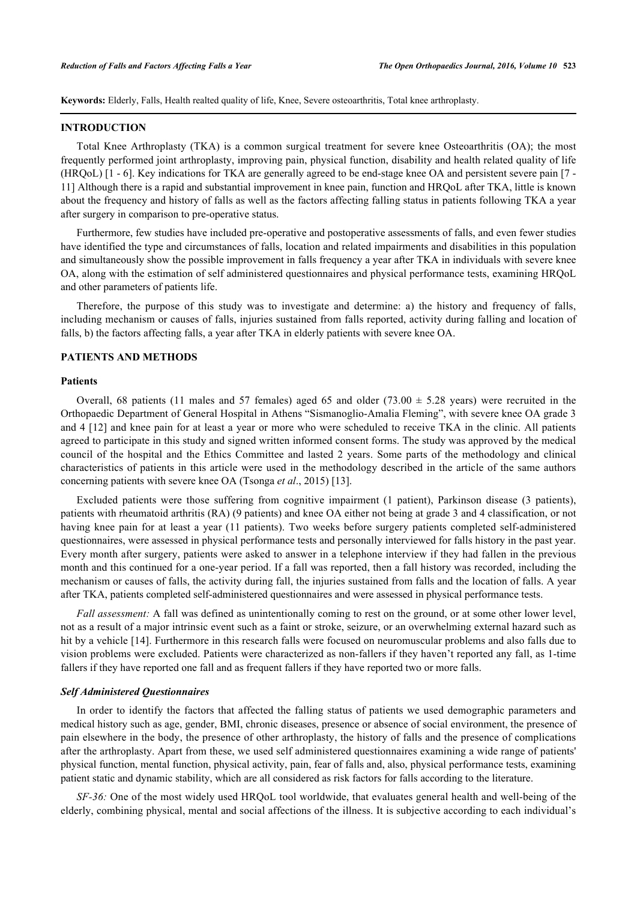**Keywords:** Elderly, Falls, Health realted quality of life, Knee, Severe osteoarthritis, Total knee arthroplasty.

#### **INTRODUCTION**

Total Knee Arthroplasty (TKA) is a common surgical treatment for severe knee Osteoarthritis (OA); the most frequently performed joint arthroplasty, improving pain, physical function, disability and health related quality of life (HRQoL) [[1](#page-7-0) - [6](#page-7-1)]. Key indications for TKA are generally agreed to be end-stage knee OA and persistent severe pain [[7](#page-7-2) - [11\]](#page-7-3) Although there is a rapid and substantial improvement in knee pain, function and HRQoL after TKA, little is known about the frequency and history of falls as well as the factors affecting falling status in patients following TKA a year after surgery in comparison to pre-operative status.

Furthermore, few studies have included pre-operative and postoperative assessments of falls, and even fewer studies have identified the type and circumstances of falls, location and related impairments and disabilities in this population and simultaneously show the possible improvement in falls frequency a year after TKA in individuals with severe knee OA, along with the estimation of self administered questionnaires and physical performance tests, examining HRQoL and other parameters of patients life.

Therefore, the purpose of this study was to investigate and determine: a) the history and frequency of falls, including mechanism or causes of falls, injuries sustained from falls reported, activity during falling and location of falls, b) the factors affecting falls, a year after TKA in elderly patients with severe knee OA.

## **PATIENTS AND METHODS**

#### **Patients**

Overall, 68 patients (11 males and 57 females) aged 65 and older (73.00  $\pm$  5.28 years) were recruited in the Orthopaedic Department of General Hospital in Athens "Sismanoglio-Amalia Fleming", with severe knee OA grade 3 and 4 [[12\]](#page-7-4) and knee pain for at least a year or more who were scheduled to receive TKA in the clinic. All patients agreed to participate in this study and signed written informed consent forms. The study was approved by the medical council of the hospital and the Ethics Committee and lasted 2 years. Some parts of the methodology and clinical characteristics of patients in this article were used in the methodology described in the article of the same authors concerning patients with severe knee OA (Tsonga *et al*., 2015) [\[13](#page-7-5)].

Excluded patients were those suffering from cognitive impairment (1 patient), Parkinson disease (3 patients), patients with rheumatoid arthritis (RA) (9 patients) and knee OA either not being at grade 3 and 4 classification, or not having knee pain for at least a year (11 patients). Two weeks before surgery patients completed self-administered questionnaires, were assessed in physical performance tests and personally interviewed for falls history in the past year. Every month after surgery, patients were asked to answer in a telephone interview if they had fallen in the previous month and this continued for a one-year period. If a fall was reported, then a fall history was recorded, including the mechanism or causes of falls, the activity during fall, the injuries sustained from falls and the location of falls. A year after TKA, patients completed self-administered questionnaires and were assessed in physical performance tests.

*Fall assessment:* A fall was defined as unintentionally coming to rest on the ground, or at some other lower level, not as a result of a major intrinsic event such as a faint or stroke, seizure, or an overwhelming external hazard such as hit by a vehicle [[14\]](#page-7-6). Furthermore in this research falls were focused on neuromuscular problems and also falls due to vision problems were excluded. Patients were characterized as non-fallers if they haven't reported any fall, as 1-time fallers if they have reported one fall and as frequent fallers if they have reported two or more falls.

#### *Self Administered Questionnaires*

In order to identify the factors that affected the falling status of patients we used demographic parameters and medical history such as age, gender, BMI, chronic diseases, presence or absence of social environment, the presence of pain elsewhere in the body, the presence of other arthroplasty, the history of falls and the presence of complications after the arthroplasty. Apart from these, we used self administered questionnaires examining a wide range of patients' physical function, mental function, physical activity, pain, fear of falls and, also, physical performance tests, examining patient static and dynamic stability, which are all considered as risk factors for falls according to the literature.

*SF-36:* One of the most widely used HRQoL tool worldwide, that evaluates general health and well-being of the elderly, combining physical, mental and social affections of the illness. It is subjective according to each individual's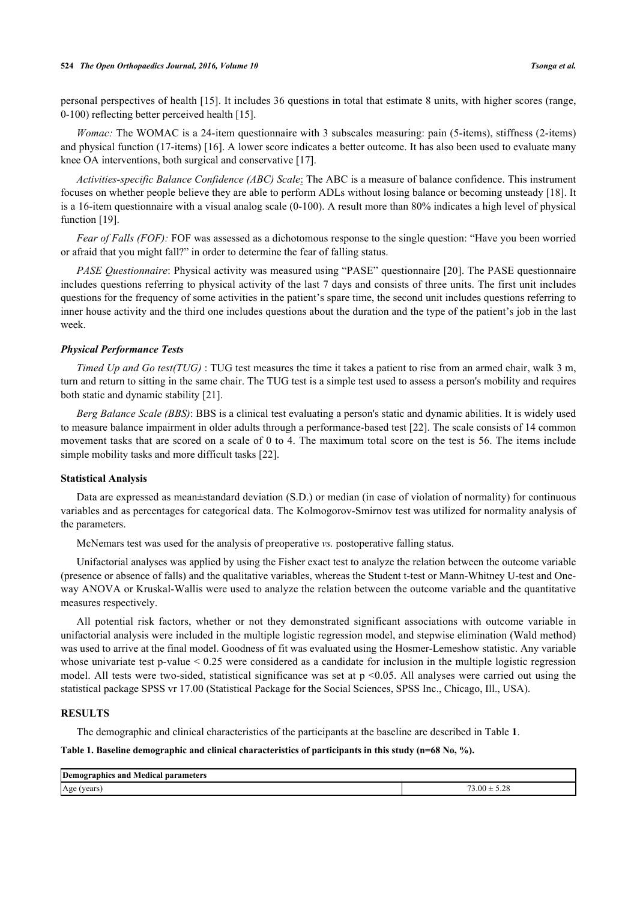#### **524** *The Open Orthopaedics Journal, 2016, Volume 10 Tsonga et al.*

personal perspectives of health [[15\]](#page-7-7). It includes 36 questions in total that estimate 8 units, with higher scores (range, 0-100) reflecting better perceived health [[15\]](#page-7-7).

*Womac:* The WOMAC is a 24-item questionnaire with 3 subscales measuring: pain (5-items), stiffness (2-items) and physical function (17-items) [\[16](#page-7-8)]. A lower score indicates a better outcome. It has also been used to evaluate many knee OA interventions, both surgical and conservative [[17\]](#page-7-9).

*Activities-specific Balance Confidence (ABC) Scale*: The ABC is a measure of balance confidence. This instrument focuses on whether people believe they are able to perform ADLs without losing balance or becoming unsteady [[18\]](#page-8-0). It is a 16-item questionnaire with a visual analog scale (0-100). A result more than 80% indicates a high level of physical function [[19\]](#page-8-1).

*Fear of Falls (FOF):* FOF was assessed as a dichotomous response to the single question: "Have you been worried or afraid that you might fall?" in order to determine the fear of falling status.

*PASE Questionnaire*: Physical activity was measured using "PASE" questionnaire [[20](#page-8-2)]. The PASE questionnaire includes questions referring to physical activity of the last 7 days and consists of three units. The first unit includes questions for the frequency of some activities in the patient's spare time, the second unit includes questions referring to inner house activity and the third one includes questions about the duration and the type of the patient's job in the last week.

#### *Physical Performance Tests*

*Timed Up and Go test(TUG)* : TUG test measures the time it takes a patient to rise from an armed chair, walk 3 m, turn and return to sitting in the same chair. The TUG test is a simple test used to assess a person's mobility and requires both static and dynamic stability [[21\]](#page-8-3).

*Berg Balance Scale (BBS)*: BBS is a clinical test evaluating a person's static and dynamic abilities. It is widely used to measure balance impairment in older adults through a performance-based test [[22](#page-8-4)]. The scale consists of 14 common movement tasks that are scored on a scale of 0 to 4. The maximum total score on the test is 56. The items include simple mobility tasks and more difficult tasks [\[22](#page-8-4)].

#### **Statistical Analysis**

Data are expressed as mean±standard deviation (S.D.) or median (in case of violation of normality) for continuous variables and as percentages for categorical data. The Kolmogorov-Smirnov test was utilized for normality analysis of the parameters.

McNemars test was used for the analysis of preoperative *vs.* postoperative falling status.

Unifactorial analyses was applied by using the Fisher exact test to analyze the relation between the outcome variable (presence or absence of falls) and the qualitative variables, whereas the Student t-test or Mann-Whitney U-test and Oneway ANOVA or Kruskal-Wallis were used to analyze the relation between the outcome variable and the quantitative measures respectively.

All potential risk factors, whether or not they demonstrated significant associations with outcome variable in unifactorial analysis were included in the multiple logistic regression model, and stepwise elimination (Wald method) was used to arrive at the final model. Goodness of fit was evaluated using the Hosmer-Lemeshow statistic. Any variable whose univariate test p-value < 0.25 were considered as a candidate for inclusion in the multiple logistic regression model. All tests were two-sided, statistical significance was set at  $p \le 0.05$ . All analyses were carried out using the statistical package SPSS vr 17.00 (Statistical Package for the Social Sciences, SPSS Inc., Chicago, Ill., USA).

#### **RESULTS**

The demographic and clinical characteristics of the participants at the baseline are described in Table **[1](#page-2-0)**.

<span id="page-2-0"></span>**Table 1. Baseline demographic and clinical characteristics of participants in this study (n=68 No, %).**

| Demographics and<br>Medical<br>narameters<br>. |                                         |
|------------------------------------------------|-----------------------------------------|
| Age (years<br>ears                             | $\sim$<br>$0.00 -$<br>ت ہے . ت<br>$  -$ |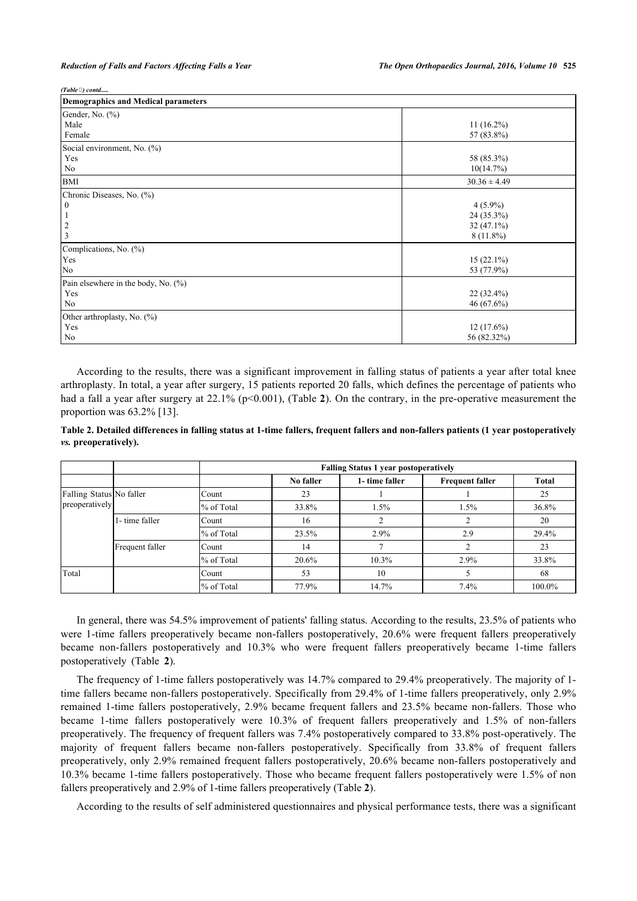*(Table ) contd.....*

| Demographics and Medical parameters                                             |                                                                         |  |  |  |
|---------------------------------------------------------------------------------|-------------------------------------------------------------------------|--|--|--|
| Gender, No. (%)<br>Male<br>Female                                               | $11(16.2\%)$<br>57 (83.8%)                                              |  |  |  |
| Social environment, No. (%)<br>Yes<br>No                                        | 58 (85.3%)<br>10(14.7%)                                                 |  |  |  |
| <b>BMI</b>                                                                      | $30.36 \pm 4.49$                                                        |  |  |  |
| Chronic Diseases, No. (%)<br>$\mathbf{0}$<br>3<br>Complications, No. (%)<br>Yes | $4(5.9\%)$<br>24 (35.3%)<br>$32(47.1\%)$<br>$8(11.8\%)$<br>$15(22.1\%)$ |  |  |  |
| No                                                                              | 53 (77.9%)                                                              |  |  |  |
| Pain elsewhere in the body, No. (%)<br>Yes<br>No                                | $22(32.4\%)$<br>46(67.6%)                                               |  |  |  |
| Other arthroplasty, No. (%)<br>Yes<br>No                                        | $12(17.6\%)$<br>56 (82.32%)                                             |  |  |  |

According to the results, there was a significant improvement in falling status of patients a year after total knee arthroplasty. In total, a year after surgery, 15 patients reported 20 falls, which defines the percentage of patients who had a fall a year after surgery at [2](#page-3-0)2.1% (p<0.001), (Table 2). On the contrary, in the pre-operative measurement the proportion was 63.2% [\[13](#page-7-5)].

<span id="page-3-0"></span>**Table 2. Detailed differences in falling status at 1-time fallers, frequent fallers and non-fallers patients (1 year postoperatively** *vs.* **preoperatively).**

|                          |                 |            | <b>Falling Status 1 year postoperatively</b> |                |                        |              |  |  |
|--------------------------|-----------------|------------|----------------------------------------------|----------------|------------------------|--------------|--|--|
|                          |                 |            | No faller                                    | 1- time faller | <b>Frequent faller</b> | <b>Total</b> |  |  |
| Falling Status No faller |                 | Count      | 23                                           |                |                        | 25           |  |  |
| preoperatively           |                 | % of Total | 33.8%                                        | 1.5%           | 1.5%                   | 36.8%        |  |  |
|                          | 1- time faller  | Count      | 16                                           |                |                        | 20           |  |  |
|                          |                 | % of Total | 23.5%                                        | 2.9%           | 2.9                    | 29.4%        |  |  |
|                          | Frequent faller | Count      | 14                                           |                |                        | 23           |  |  |
|                          |                 | % of Total | 20.6%                                        | 10.3%          | 2.9%                   | 33.8%        |  |  |
| Total                    |                 | Count      | 53                                           | 10             |                        | 68           |  |  |
|                          |                 | % of Total | 77.9%                                        | 14.7%          | 7.4%                   | 100.0%       |  |  |

In general, there was 54.5% improvement of patients' falling status. According to the results, 23.5% of patients who were 1-time fallers preoperatively became non-fallers postoperatively, 20.6% were frequent fallers preoperatively became non-fallers postoperatively and 10.3% who were frequent fallers preoperatively became 1-time fallers postoperatively (Table**2**).

The frequency of 1-time fallers postoperatively was 14.7% compared to 29.4% preoperatively. The majority of 1 time fallers became non-fallers postoperatively. Specifically from 29.4% of 1-time fallers preoperatively, only 2.9% remained 1-time fallers postoperatively, 2.9% became frequent fallers and 23.5% became non-fallers. Those who became 1-time fallers postoperatively were 10.3% of frequent fallers preoperatively and 1.5% of non-fallers preoperatively. The frequency of frequent fallers was 7.4% postoperatively compared to 33.8% post-operatively. The majority of frequent fallers became non-fallers postoperatively. Specifically from 33.8% of frequent fallers preoperatively, only 2.9% remained frequent fallers postoperatively, 20.6% became non-fallers postoperatively and 10.3% became 1-time fallers postoperatively. Those who became frequent fallers postoperatively were 1.5% of non fallers preoperatively and 2.9% of 1-time fallers preoperatively (Table **[2](#page-3-0)**).

According to the results of self administered questionnaires and physical performance tests, there was a significant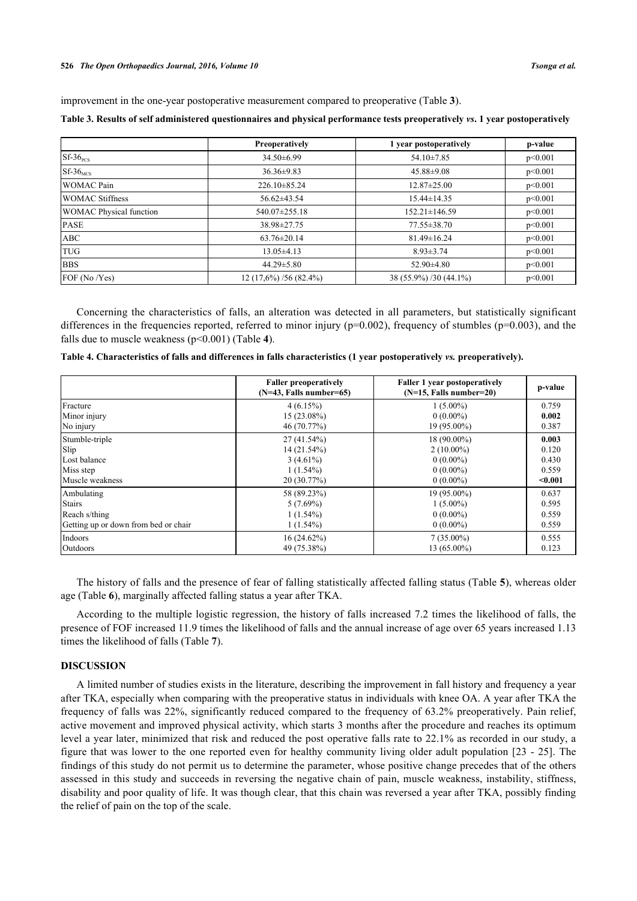#### **526** *The Open Orthopaedics Journal, 2016, Volume 10 Tsonga et al.*

improvement in the one-year postoperative measurement compared to preoperative (Table **[3](#page-4-0)**).

<span id="page-4-0"></span>

|                                | Preoperatively          | 1 year postoperatively | p-value |
|--------------------------------|-------------------------|------------------------|---------|
| $Sf-36_{\text{PCS}}$           | $34.50\pm6.99$          | $54.10 \pm 7.85$       | p<0.001 |
| $Sf-36$ <sub>MCS</sub>         | $36.36 \pm 9.83$        | $45.88 \pm 9.08$       | p<0.001 |
| <b>WOMAC Pain</b>              | $226.10\pm85.24$        | $12.87 \pm 25.00$      | p<0.001 |
| <b>WOMAC Stiffness</b>         | $56.62\pm43.54$         | $15.44 \pm 14.35$      | p<0.001 |
| <b>WOMAC Physical function</b> | 540.07±255.18           | $152.21 \pm 146.59$    | p<0.001 |
| <b>PASE</b>                    | 38.98±27.75             | 77.55±38.70            | p<0.001 |
| <b>ABC</b>                     | $63.76 \pm 20.14$       | $81.49 \pm 16.24$      | p<0.001 |
| <b>TUG</b>                     | $13.05 \pm 4.13$        | $8.93 \pm 3.74$        | p<0.001 |
| <b>BBS</b>                     | $44.29 \pm 5.80$        | $52.90 \pm 4.80$       | p<0.001 |
| FOF (No / Yes)                 | $12(17,6\%)/56(82.4\%)$ | 38 (55.9%) /30 (44.1%) | p<0.001 |

Concerning the characteristics of falls, an alteration was detected in all parameters, but statistically significant differences in the frequencies reported, referred to minor injury ( $p=0.002$ ), frequency of stumbles ( $p=0.003$ ), and the falls due to muscle weakness (p<0.001) (Table **[4](#page-4-1)**).

<span id="page-4-1"></span>

| Table 4. Characteristics of falls and differences in falls characteristics (1 year postoperatively vs. preoperatively). |  |  |  |  |
|-------------------------------------------------------------------------------------------------------------------------|--|--|--|--|
|-------------------------------------------------------------------------------------------------------------------------|--|--|--|--|

|                                      | <b>Faller preoperatively</b><br>$(N=43,$ Falls number=65) | <b>Faller 1 year postoperatively</b><br>$(N=15,$ Falls number=20) | p-value |
|--------------------------------------|-----------------------------------------------------------|-------------------------------------------------------------------|---------|
| Fracture                             | 4(6.15%)                                                  | $1(5.00\%)$                                                       | 0.759   |
| Minor injury                         | 15 (23.08%)                                               | $0(0.00\%)$                                                       | 0.002   |
| No injury                            | 46 (70.77%)                                               | 19 (95.00%)                                                       | 0.387   |
| Stumble-triple                       | $27(41.54\%)$                                             | 18 (90.00%)                                                       | 0.003   |
| Slip                                 | 14 (21.54%)                                               | $2(10.00\%)$                                                      | 0.120   |
| Lost balance                         | $3(4.61\%)$                                               | $0(0.00\%)$                                                       | 0.430   |
| Miss step                            | $1(1.54\%)$                                               | $0(0.00\%)$                                                       | 0.559   |
| Muscle weakness                      | 20(30.77%)                                                | $0(0.00\%)$                                                       | $0.001$ |
| Ambulating                           | 58 (89.23%)                                               | 19 (95.00%)                                                       | 0.637   |
| <b>Stairs</b>                        | $5(7.69\%)$                                               | $1(5.00\%)$                                                       | 0.595   |
| Reach s/thing                        | $1(1.54\%)$                                               | $0(0.00\%)$                                                       | 0.559   |
| Getting up or down from bed or chair | $1(1.54\%)$                                               | $0(0.00\%)$                                                       | 0.559   |
| Indoors                              | $16(24.62\%)$                                             | $7(35.00\%)$                                                      | 0.555   |
| Outdoors                             | 49 (75.38%)                                               | $13(65.00\%)$                                                     | 0.123   |

The history of falls and the presence of fear of falling statistically affected falling status (Table **[5](#page-4-2)**), whereas older age (Table **[6](#page-6-0)**), marginally affected falling status a year after TKA.

According to the multiple logistic regression, the history of falls increased 7.2 times the likelihood of falls, the presence of FOF increased 11.9 times the likelihood of falls and the annual increase of age over 65 years increased 1.13 times the likelihood of falls (Table **[7](#page-6-1)**).

## **DISCUSSION**

<span id="page-4-2"></span>A limited number of studies exists in the literature, describing the improvement in fall history and frequency a year after TKA, especially when comparing with the preoperative status in individuals with knee OA. A year after TKA the frequency of falls was 22%, significantly reduced compared to the frequency of 63.2% preoperatively. Pain relief, active movement and improved physical activity, which starts 3 months after the procedure and reaches its optimum level a year later, minimized that risk and reduced the post operative falls rate to 22.1% as recorded in our study, a figure that was lower to the one reported even for healthy community living older adult population [\[23](#page-8-5) - [25](#page-8-6)]. The findings of this study do not permit us to determine the parameter, whose positive change precedes that of the others assessed in this study and succeeds in reversing the negative chain of pain, muscle weakness, instability, stiffness, disability and poor quality of life. It was though clear, that this chain was reversed a year after TKA, possibly finding the relief of pain on the top of the scale.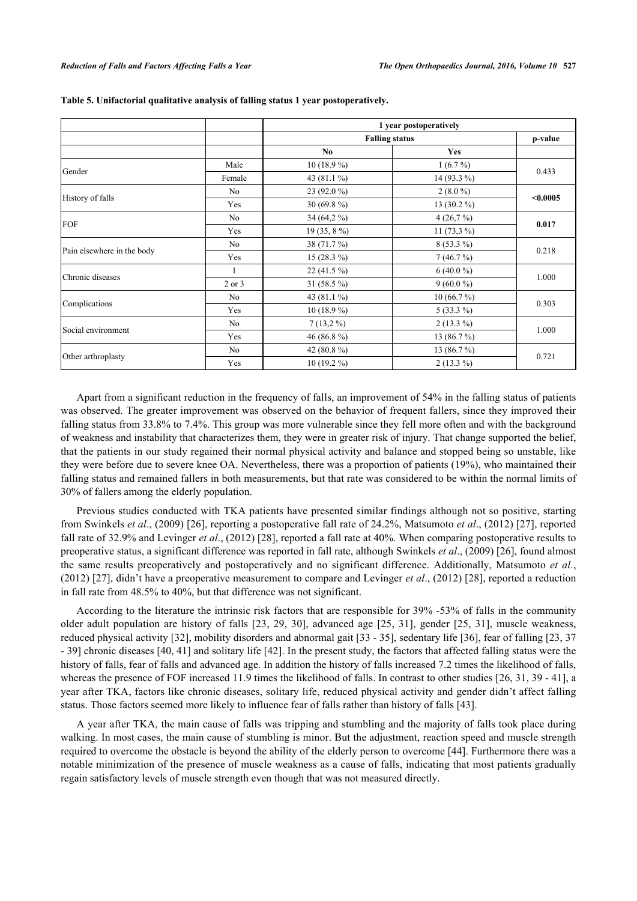|                            |                |                       | 1 year postoperatively |          |  |
|----------------------------|----------------|-----------------------|------------------------|----------|--|
|                            |                | <b>Falling status</b> | p-value                |          |  |
|                            |                | N <sub>0</sub>        | <b>Yes</b>             |          |  |
|                            | Male           | $10(18.9\%)$          | $1(6.7\%)$             | 0.433    |  |
| Gender                     | Female         | 43 (81.1 %)           | 14 (93.3 %)            |          |  |
| History of falls           | No             | 23 (92.0 %)           | $2(8.0\%)$             | < 0.0005 |  |
|                            | Yes            | 30 $(69.8\%)$         | 13 (30.2 %)            |          |  |
| FOF                        | N <sub>0</sub> | 34 (64,2 %)           | 4(26,7%)               |          |  |
|                            | Yes            | $19(35, 8\%)$         | 11 $(73,3\%)$          | 0.017    |  |
|                            | No             | 38 (71.7 %)           | $8(53.3\%)$            |          |  |
| Pain elsewhere in the body | Yes            | $15(28.3\%)$          | 7(46.7%)               | 0.218    |  |
|                            |                | $22(41.5\%)$          | $6(40.0\%)$            |          |  |
| Chronic diseases           | 2 or 3         | 31 (58.5 %)           | $9(60.0\%)$            | 1.000    |  |
|                            | No             | 43 (81.1 %)           | 10(66.7%)              |          |  |
| Complications              | Yes            | $10(18.9\%)$          | $5(33.3\%)$            | 0.303    |  |
|                            | No             | $7(13,2\%)$           | $2(13.3\%)$            |          |  |
| Social environment         | Yes            | 46 (86.8 $%$ )        | 13 (86.7 %)            | 1.000    |  |
|                            | No             | 42 (80.8%)            | 13 (86.7 %)            |          |  |
| Other arthroplasty         | Yes            | $10(19.2\%)$          | $2(13.3\%)$            | 0.721    |  |

#### **Table 5. Unifactorial qualitative analysis of falling status 1 year postoperatively.**

Apart from a significant reduction in the frequency of falls, an improvement of 54% in the falling status of patients was observed. The greater improvement was observed on the behavior of frequent fallers, since they improved their falling status from 33.8% to 7.4%. This group was more vulnerable since they fell more often and with the background of weakness and instability that characterizes them, they were in greater risk of injury. That change supported the belief, that the patients in our study regained their normal physical activity and balance and stopped being so unstable, like they were before due to severe knee OA. Nevertheless, there was a proportion of patients (19%), who maintained their falling status and remained fallers in both measurements, but that rate was considered to be within the normal limits of 30% of fallers among the elderly population.

Previous studies conducted with TKA patients have presented similar findings although not so positive, starting from Swinkels *et al*., (2009) [[26](#page-8-7)], reporting a postoperative fall rate of 24.2%, Matsumoto *et al*., (2012) [[27](#page-8-8)], reported fall rate of 32.9% and Levinger *et al*., (2012) [\[28](#page-8-9)], reported a fall rate at 40%. When comparing postoperative results to preoperative status, a significant difference was reported in fall rate, although Swinkels *et al*., (2009) [[26\]](#page-8-7), found almost the same results preoperatively and postoperatively and no significant difference. Additionally, Matsumoto *et al.*, (2012) [[27\]](#page-8-8), didn't have a preoperative measurement to compare and Levinger *et al*., (2012) [[28](#page-8-9)], reported a reduction in fall rate from 48.5% to 40%, but that difference was not significant.

According to the literature the intrinsic risk factors that are responsible for 39% -53% of falls in the community older adult population are history of falls [\[23](#page-8-5), [29,](#page-8-10) [30\]](#page-8-11), advanced age [[25](#page-8-6), [31\]](#page-8-12), gender [[25,](#page-8-6) [31](#page-8-12)], muscle weakness, reduced physical activity [\[32](#page-8-13)], mobility disorders and abnormal gait [\[33](#page-8-14) - [35\]](#page-8-15), sedentary life [[36\]](#page-8-16), fear of falling [\[23](#page-8-5), [37](#page-8-17) - [39\]](#page-9-0) chronic diseases [\[40](#page-9-1), [41](#page-9-2)] and solitary life [\[42](#page-9-3)]. In the present study, the factors that affected falling status were the history of falls, fear of falls and advanced age. In addition the history of falls increased 7.2 times the likelihood of falls, whereas the presence of FOF increased 11.9 times the likelihood of falls. In contrast to other studies [[26,](#page-8-7) [31,](#page-8-12) [39](#page-9-0) - [41\]](#page-9-2), a year after TKA, factors like chronic diseases, solitary life, reduced physical activity and gender didn't affect falling status. Those factors seemed more likely to influence fear of falls rather than history of falls [\[43](#page-9-4)].

A year after TKA, the main cause of falls was tripping and stumbling and the majority of falls took place during walking. In most cases, the main cause of stumbling is minor. But the adjustment, reaction speed and muscle strength required to overcome the obstacle is beyond the ability of the elderly person to overcome [[44](#page-9-5)]. Furthermore there was a notable minimization of the presence of muscle weakness as a cause of falls, indicating that most patients gradually regain satisfactory levels of muscle strength even though that was not measured directly.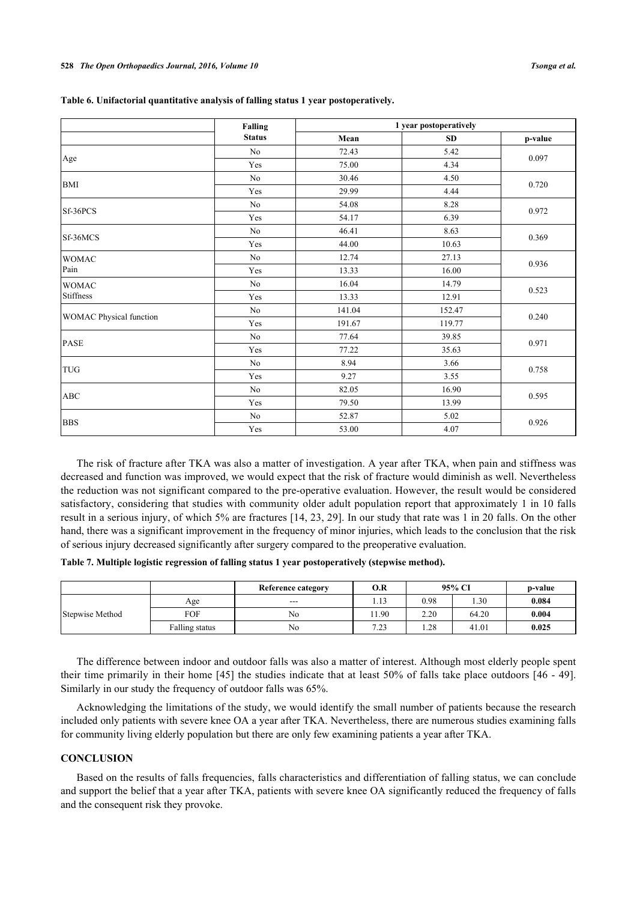|                                | <b>Falling</b> | 1 year postoperatively |           |         |
|--------------------------------|----------------|------------------------|-----------|---------|
|                                | <b>Status</b>  | Mean                   | <b>SD</b> | p-value |
|                                | No             | 72.43                  | 5.42      |         |
| Age                            | Yes            | 75.00                  | 4.34      | 0.097   |
| <b>BMI</b>                     | N <sub>0</sub> | 30.46                  | 4.50      |         |
|                                | Yes            | 29.99                  | 4.44      | 0.720   |
| Sf-36PCS                       | N <sub>0</sub> | 54.08                  | 8.28      |         |
|                                | Yes            | 54.17                  | 6.39      | 0.972   |
| Sf-36MCS                       | N <sub>0</sub> | 46.41                  | 8.63      |         |
|                                | Yes            | 44.00                  | 10.63     | 0.369   |
| <b>WOMAC</b><br>Pain           | No             | 12.74                  | 27.13     |         |
|                                | Yes            | 13.33                  | 16.00     | 0.936   |
| <b>WOMAC</b>                   | No             | 16.04                  | 14.79     |         |
| <b>Stiffness</b>               | Yes            | 13.33                  | 12.91     | 0.523   |
|                                | No             | 141.04                 | 152.47    |         |
| <b>WOMAC Physical function</b> | Yes            | 191.67                 | 119.77    | 0.240   |
| <b>PASE</b>                    | No             | 77.64                  | 39.85     |         |
|                                | Yes            | 77.22                  | 35.63     | 0.971   |
|                                | N <sub>0</sub> | 8.94                   | 3.66      |         |
| <b>TUG</b>                     | Yes            | 9.27                   | 3.55      | 0.758   |
| <b>ABC</b>                     | N <sub>0</sub> | 82.05                  | 16.90     |         |
|                                | Yes            | 79.50                  | 13.99     | 0.595   |
|                                | No             | 52.87                  | 5.02      |         |
| <b>BBS</b>                     | Yes            | 53.00                  | 4.07      | 0.926   |

<span id="page-6-0"></span>**Table 6. Unifactorial quantitative analysis of falling status 1 year postoperatively.**

The risk of fracture after TKA was also a matter of investigation. A year after TKA, when pain and stiffness was decreased and function was improved, we would expect that the risk of fracture would diminish as well. Nevertheless the reduction was not significant compared to the pre-operative evaluation. However, the result would be considered satisfactory, considering that studies with community older adult population report that approximately 1 in 10 falls result in a serious injury, of which 5% are fractures [[14,](#page-7-6) [23](#page-8-5), [29](#page-8-10)]. In our study that rate was 1 in 20 falls. On the other hand, there was a significant improvement in the frequency of minor injuries, which leads to the conclusion that the risk of serious injury decreased significantly after surgery compared to the preoperative evaluation.

<span id="page-6-1"></span>

|  |  |  |  |  |  |  | Table 7. Multiple logistic regression of falling status 1 year postoperatively (stepwise method). |  |
|--|--|--|--|--|--|--|---------------------------------------------------------------------------------------------------|--|
|--|--|--|--|--|--|--|---------------------------------------------------------------------------------------------------|--|

|                 |                | <b>Reference category</b> | O.R  |      | 95% CI | p-value |
|-----------------|----------------|---------------------------|------|------|--------|---------|
|                 | Age            | $---$                     | 1.13 | 0.98 | .30    | 0.084   |
| Stepwise Method | FOF            | No                        | 1.90 | 2.20 | 64.20  | 0.004   |
|                 | Falling status | No                        | 7.23 | .28  | 41.01  | 0.025   |

The difference between indoor and outdoor falls was also a matter of interest. Although most elderly people spent their time primarily in their home [\[45\]](#page-9-6) the studies indicate that at least 50% of falls take place outdoors [[46](#page-9-7) - [49\]](#page-9-8). Similarly in our study the frequency of outdoor falls was 65%.

Acknowledging the limitations of the study, we would identify the small number of patients because the research included only patients with severe knee OA a year after TKA. Nevertheless, there are numerous studies examining falls for community living elderly population but there are only few examining patients a year after TKA.

# **CONCLUSION**

Based on the results of falls frequencies, falls characteristics and differentiation of falling status, we can conclude and support the belief that a year after TKA, patients with severe knee OA significantly reduced the frequency of falls and the consequent risk they provoke.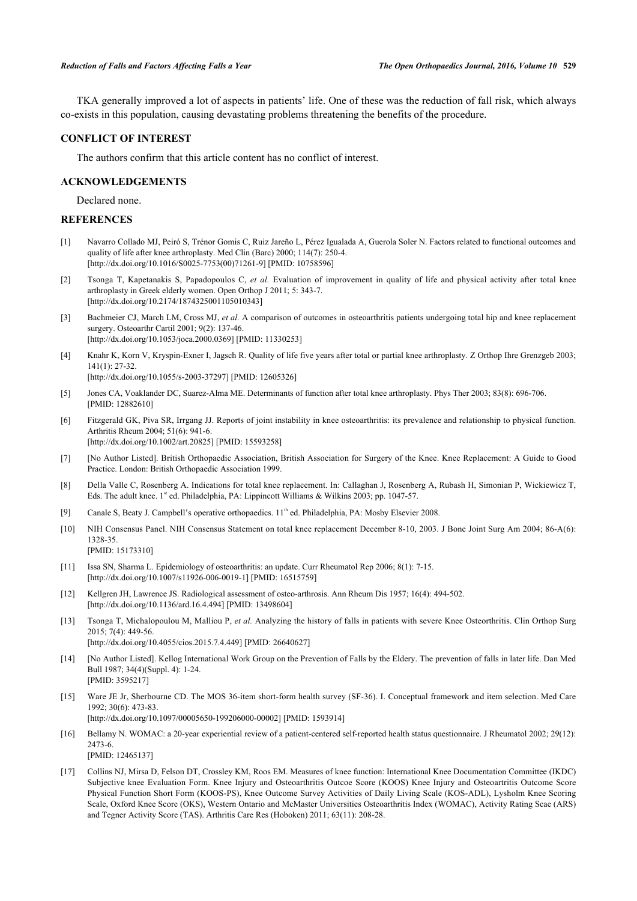TKA generally improved a lot of aspects in patients' life. One of these was the reduction of fall risk, which always co-exists in this population, causing devastating problems threatening the benefits of the procedure.

# **CONFLICT OF INTEREST**

The authors confirm that this article content has no conflict of interest.

# **ACKNOWLEDGEMENTS**

Declared none.

## **REFERENCES**

- <span id="page-7-0"></span>[1] Navarro Collado MJ, Peiró S, Trénor Gomis C, Ruiz Jareño L, Pérez Igualada A, Guerola Soler N. Factors related to functional outcomes and quality of life after knee arthroplasty. Med Clin (Barc) 2000; 114(7): 250-4. [\[http://dx.doi.org/10.1016/S0025-7753\(00\)71261-9\]](http://dx.doi.org/10.1016/S0025-7753(00)71261-9) [PMID: [10758596](http://www.ncbi.nlm.nih.gov/pubmed/10758596)]
- [2] Tsonga T, Kapetanakis S, Papadopoulos C, *et al.* Evaluation of improvement in quality of life and physical activity after total knee arthroplasty in Greek elderly women. Open Orthop J 2011; 5: 343-7. [\[http://dx.doi.org/10.2174/1874325001105010343\]](http://dx.doi.org/10.2174/1874325001105010343)
- [3] Bachmeier CJ, March LM, Cross MJ, *et al.* A comparison of outcomes in osteoarthritis patients undergoing total hip and knee replacement surgery. Osteoarthr Cartil 2001; 9(2): 137-46. [\[http://dx.doi.org/10.1053/joca.2000.0369](http://dx.doi.org/10.1053/joca.2000.0369)] [PMID: [11330253\]](http://www.ncbi.nlm.nih.gov/pubmed/11330253)
- [4] Knahr K, Korn V, Kryspin-Exner I, Jagsch R. Quality of life five years after total or partial knee arthroplasty. Z Orthop Ihre Grenzgeb 2003; 141(1): 27-32.

[\[http://dx.doi.org/10.1055/s-2003-37297](http://dx.doi.org/10.1055/s-2003-37297)] [PMID: [12605326\]](http://www.ncbi.nlm.nih.gov/pubmed/12605326)

- [5] Jones CA, Voaklander DC, Suarez-Alma ME. Determinants of function after total knee arthroplasty. Phys Ther 2003; 83(8): 696-706. [PMID: [12882610\]](http://www.ncbi.nlm.nih.gov/pubmed/12882610)
- <span id="page-7-1"></span>[6] Fitzgerald GK, Piva SR, Irrgang JJ. Reports of joint instability in knee osteoarthritis: its prevalence and relationship to physical function. Arthritis Rheum 2004; 51(6): 941-6. [\[http://dx.doi.org/10.1002/art.20825](http://dx.doi.org/10.1002/art.20825)] [PMID: [15593258\]](http://www.ncbi.nlm.nih.gov/pubmed/15593258)
- <span id="page-7-2"></span>[7] [No Author Listed]. British Orthopaedic Association, British Association for Surgery of the Knee. Knee Replacement: A Guide to Good Practice. London: British Orthopaedic Association 1999.
- [8] Della Valle C, Rosenberg A. Indications for total knee replacement. In: Callaghan J, Rosenberg A, Rubash H, Simonian P, Wickiewicz T, Eds. The adult knee. 1<sup>st</sup> ed. Philadelphia, PA: Lippincott Williams & Wilkins 2003; pp. 1047-57.
- [9] Canale S, Beaty J. Campbell's operative orthopaedics. 11<sup>th</sup> ed. Philadelphia, PA: Mosby Elsevier 2008.
- [10] NIH Consensus Panel. NIH Consensus Statement on total knee replacement December 8-10, 2003. J Bone Joint Surg Am 2004; 86-A(6): 1328-35. [PMID: [15173310\]](http://www.ncbi.nlm.nih.gov/pubmed/15173310)
- <span id="page-7-3"></span>[11] Issa SN, Sharma L. Epidemiology of osteoarthritis: an update. Curr Rheumatol Rep 2006; 8(1): 7-15. [\[http://dx.doi.org/10.1007/s11926-006-0019-1\]](http://dx.doi.org/10.1007/s11926-006-0019-1) [PMID: [16515759](http://www.ncbi.nlm.nih.gov/pubmed/16515759)]
- <span id="page-7-4"></span>[12] Kellgren JH, Lawrence JS. Radiological assessment of osteo-arthrosis. Ann Rheum Dis 1957; 16(4): 494-502. [\[http://dx.doi.org/10.1136/ard.16.4.494](http://dx.doi.org/10.1136/ard.16.4.494)] [PMID: [13498604\]](http://www.ncbi.nlm.nih.gov/pubmed/13498604)
- <span id="page-7-5"></span>[13] Tsonga T, Michalopoulou M, Malliou P, *et al.* Analyzing the history of falls in patients with severe Knee Osteorthritis. Clin Orthop Surg 2015; 7(4): 449-56. [\[http://dx.doi.org/10.4055/cios.2015.7.4.449\]](http://dx.doi.org/10.4055/cios.2015.7.4.449) [PMID: [26640627](http://www.ncbi.nlm.nih.gov/pubmed/26640627)]
- <span id="page-7-6"></span>[14] [No Author Listed]. Kellog International Work Group on the Prevention of Falls by the Eldery. The prevention of falls in later life. Dan Med Bull 1987; 34(4)(Suppl. 4): 1-24.
- <span id="page-7-7"></span>[15] Ware JE Jr, Sherbourne CD. The MOS 36-item short-form health survey (SF-36). I. Conceptual framework and item selection. Med Care 1992; 30(6): 473-83.

[\[http://dx.doi.org/10.1097/00005650-199206000-00002](http://dx.doi.org/10.1097/00005650-199206000-00002)] [PMID: [1593914\]](http://www.ncbi.nlm.nih.gov/pubmed/1593914)

[PMID: [3595217\]](http://www.ncbi.nlm.nih.gov/pubmed/3595217)

- <span id="page-7-8"></span>[16] Bellamy N. WOMAC: a 20-year experiential review of a patient-centered self-reported health status questionnaire. J Rheumatol 2002; 29(12): 2473-6. [PMID: [12465137\]](http://www.ncbi.nlm.nih.gov/pubmed/12465137)
- <span id="page-7-9"></span>[17] Collins NJ, Mirsa D, Felson DT, Crossley KM, Roos EM. Measures of knee function: International Knee Documentation Committee (IKDC) Subjective knee Evaluation Form. Knee Injury and Osteoarthritis Outcoe Score (KOOS) Knee Injury and Osteoartritis Outcome Score Physical Function Short Form (KOOS-PS), Knee Outcome Survey Activities of Daily Living Scale (KOS-ADL), Lysholm Knee Scoring Scale, Oxford Knee Score (OKS), Western Ontario and McMaster Universities Osteoarthritis Index (WOMAC), Activity Rating Scae (ARS) and Tegner Activity Score (TAS). Arthritis Care Res (Hoboken) 2011; 63(11): 208-28.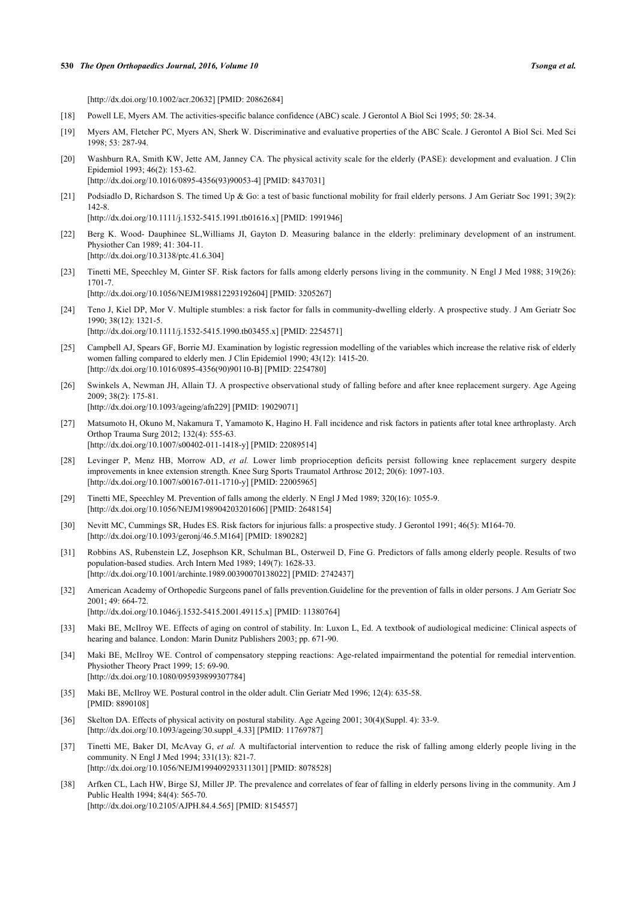#### **530** *The Open Orthopaedics Journal, 2016, Volume 10 Tsonga et al.*

[\[http://dx.doi.org/10.1002/acr.20632\]](http://dx.doi.org/10.1002/acr.20632) [PMID: [20862684](http://www.ncbi.nlm.nih.gov/pubmed/20862684)]

- <span id="page-8-0"></span>[18] Powell LE, Myers AM. The activities-specific balance confidence (ABC) scale. J Gerontol A Biol Sci 1995; 50: 28-34.
- <span id="page-8-1"></span>[19] Myers AM, Fletcher PC, Myers AN, Sherk W. Discriminative and evaluative properties of the ABC Scale. J Gerontol A BioI Sci. Med Sci 1998; 53: 287-94.
- <span id="page-8-2"></span>[20] Washburn RA, Smith KW, Jette AM, Janney CA. The physical activity scale for the elderly (PASE): development and evaluation. J Clin Epidemiol 1993; 46(2): 153-62. [\[http://dx.doi.org/10.1016/0895-4356\(93\)90053-4](http://dx.doi.org/10.1016/0895-4356(93)90053-4)] [PMID: [8437031](http://www.ncbi.nlm.nih.gov/pubmed/8437031)]
- <span id="page-8-3"></span>[21] Podsiadlo D, Richardson S. The timed Up & Go: a test of basic functional mobility for frail elderly persons. J Am Geriatr Soc 1991; 39(2): 142-8. [\[http://dx.doi.org/10.1111/j.1532-5415.1991.tb01616.x\]](http://dx.doi.org/10.1111/j.1532-5415.1991.tb01616.x) [PMID: [1991946](http://www.ncbi.nlm.nih.gov/pubmed/1991946)]
- <span id="page-8-4"></span>[22] Berg K. Wood- Dauphinee SL,Williams JI, Gayton D. Measuring balance in the elderly: preliminary development of an instrument. Physiother Can 1989; 41: 304-11. [\[http://dx.doi.org/10.3138/ptc.41.6.304\]](http://dx.doi.org/10.3138/ptc.41.6.304)
- <span id="page-8-5"></span>[23] Tinetti ME, Speechley M, Ginter SF. Risk factors for falls among elderly persons living in the community. N Engl J Med 1988; 319(26): 1701-7. [\[http://dx.doi.org/10.1056/NEJM198812293192604\]](http://dx.doi.org/10.1056/NEJM198812293192604) [PMID: [3205267](http://www.ncbi.nlm.nih.gov/pubmed/3205267)]
- [24] Teno J, Kiel DP, Mor V. Multiple stumbles: a risk factor for falls in community-dwelling elderly. A prospective study. J Am Geriatr Soc 1990; 38(12): 1321-5. [\[http://dx.doi.org/10.1111/j.1532-5415.1990.tb03455.x\]](http://dx.doi.org/10.1111/j.1532-5415.1990.tb03455.x) [PMID: [2254571](http://www.ncbi.nlm.nih.gov/pubmed/2254571)]
- <span id="page-8-6"></span>[25] Campbell AJ, Spears GF, Borrie MJ. Examination by logistic regression modelling of the variables which increase the relative risk of elderly women falling compared to elderly men. J Clin Epidemiol 1990; 43(12): 1415-20. [\[http://dx.doi.org/10.1016/0895-4356\(90\)90110-B\]](http://dx.doi.org/10.1016/0895-4356(90)90110-B) [PMID: [2254780](http://www.ncbi.nlm.nih.gov/pubmed/2254780)]
- <span id="page-8-7"></span>[26] Swinkels A, Newman JH, Allain TJ. A prospective observational study of falling before and after knee replacement surgery. Age Ageing 2009; 38(2): 175-81. [\[http://dx.doi.org/10.1093/ageing/afn229\]](http://dx.doi.org/10.1093/ageing/afn229) [PMID: [19029071](http://www.ncbi.nlm.nih.gov/pubmed/19029071)]
- <span id="page-8-8"></span>[27] Matsumoto H, Okuno M, Nakamura T, Yamamoto K, Hagino H. Fall incidence and risk factors in patients after total knee arthroplasty. Arch Orthop Trauma Surg 2012; 132(4): 555-63. [\[http://dx.doi.org/10.1007/s00402-011-1418-y\]](http://dx.doi.org/10.1007/s00402-011-1418-y) [PMID: [22089514](http://www.ncbi.nlm.nih.gov/pubmed/22089514)]
- <span id="page-8-9"></span>[28] Levinger P, Menz HB, Morrow AD, *et al.* Lower limb proprioception deficits persist following knee replacement surgery despite improvements in knee extension strength. Knee Surg Sports Traumatol Arthrosc 2012; 20(6): 1097-103. [\[http://dx.doi.org/10.1007/s00167-011-1710-y\]](http://dx.doi.org/10.1007/s00167-011-1710-y) [PMID: [22005965](http://www.ncbi.nlm.nih.gov/pubmed/22005965)]
- <span id="page-8-10"></span>[29] Tinetti ME, Speechley M. Prevention of falls among the elderly. N Engl J Med 1989; 320(16): 1055-9. [\[http://dx.doi.org/10.1056/NEJM198904203201606\]](http://dx.doi.org/10.1056/NEJM198904203201606) [PMID: [2648154](http://www.ncbi.nlm.nih.gov/pubmed/2648154)]
- <span id="page-8-11"></span>[30] Nevitt MC, Cummings SR, Hudes ES. Risk factors for injurious falls: a prospective study. J Gerontol 1991; 46(5): M164-70. [\[http://dx.doi.org/10.1093/geronj/46.5.M164\]](http://dx.doi.org/10.1093/geronj/46.5.M164) [PMID: [1890282](http://www.ncbi.nlm.nih.gov/pubmed/1890282)]
- <span id="page-8-12"></span>[31] Robbins AS, Rubenstein LZ, Josephson KR, Schulman BL, Osterweil D, Fine G. Predictors of falls among elderly people. Results of two population-based studies. Arch Intern Med 1989; 149(7): 1628-33. [\[http://dx.doi.org/10.1001/archinte.1989.00390070138022\]](http://dx.doi.org/10.1001/archinte.1989.00390070138022) [PMID: [2742437](http://www.ncbi.nlm.nih.gov/pubmed/2742437)]
- <span id="page-8-13"></span>[32] American Academy of Orthopedic Surgeons panel of falls prevention.Guideline for the prevention of falls in older persons. J Am Geriatr Soc 2001; 49: 664-72. [\[http://dx.doi.org/10.1046/j.1532-5415.2001.49115.x\]](http://dx.doi.org/10.1046/j.1532-5415.2001.49115.x) [PMID: [11380764](http://www.ncbi.nlm.nih.gov/pubmed/11380764)]
- <span id="page-8-14"></span>[33] Maki BE, McIlroy WE. Effects of aging on control of stability. In: Luxon L, Ed. A textbook of audiological medicine: Clinical aspects of hearing and balance. London: Marin Dunitz Publishers 2003; pp. 671-90.
- [34] Maki BE, McIlroy WE. Control of compensatory stepping reactions: Age-related impairmentand the potential for remedial intervention. Physiother Theory Pract 1999; 15: 69-90. [\[http://dx.doi.org/10.1080/095939899307784\]](http://dx.doi.org/10.1080/095939899307784)
- <span id="page-8-15"></span>[35] Maki BE, McIlroy WE. Postural control in the older adult. Clin Geriatr Med 1996; 12(4): 635-58. [PMID: [8890108\]](http://www.ncbi.nlm.nih.gov/pubmed/8890108)
- <span id="page-8-16"></span>[36] Skelton DA. Effects of physical activity on postural stability. Age Ageing 2001; 30(4)(Suppl. 4): 33-9. [\[http://dx.doi.org/10.1093/ageing/30.suppl\\_4.33\]](http://dx.doi.org/10.1093/ageing/30.suppl_4.33) [PMID: [11769787](http://www.ncbi.nlm.nih.gov/pubmed/11769787)]
- <span id="page-8-17"></span>[37] Tinetti ME, Baker DI, McAvay G, *et al.* A multifactorial intervention to reduce the risk of falling among elderly people living in the community. N Engl J Med 1994; 331(13): 821-7. [\[http://dx.doi.org/10.1056/NEJM199409293311301\]](http://dx.doi.org/10.1056/NEJM199409293311301) [PMID: [8078528](http://www.ncbi.nlm.nih.gov/pubmed/8078528)]
- [38] Arfken CL, Lach HW, Birge SJ, Miller JP. The prevalence and correlates of fear of falling in elderly persons living in the community. Am J Public Health 1994; 84(4): 565-70. [\[http://dx.doi.org/10.2105/AJPH.84.4.565\]](http://dx.doi.org/10.2105/AJPH.84.4.565) [PMID: [8154557](http://www.ncbi.nlm.nih.gov/pubmed/8154557)]